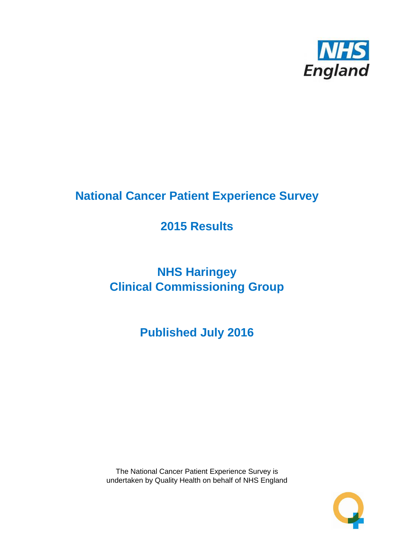

# **National Cancer Patient Experience Survey**

# **2015 Results**

# **NHS Haringey Clinical Commissioning Group**

**Published July 2016**

The National Cancer Patient Experience Survey is undertaken by Quality Health on behalf of NHS England

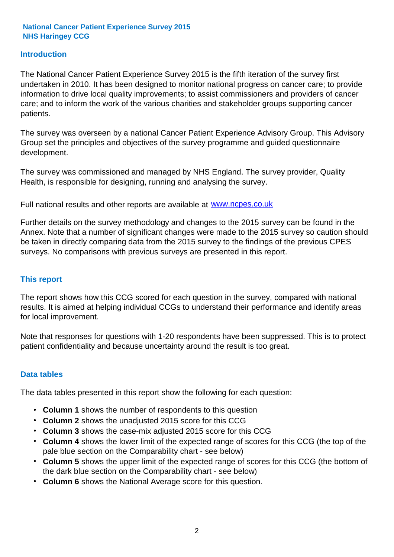#### **Introduction**

The National Cancer Patient Experience Survey 2015 is the fifth iteration of the survey first undertaken in 2010. It has been designed to monitor national progress on cancer care; to provide information to drive local quality improvements; to assist commissioners and providers of cancer care; and to inform the work of the various charities and stakeholder groups supporting cancer patients.

The survey was overseen by a national Cancer Patient Experience Advisory Group. This Advisory Group set the principles and objectives of the survey programme and guided questionnaire development.

The survey was commissioned and managed by NHS England. The survey provider, Quality Health, is responsible for designing, running and analysing the survey.

Full national results and other reports are available at www.ncpes.co.uk

Further details on the survey methodology and changes to the 2015 survey can be found in the Annex. Note that a number of significant changes were made to the 2015 survey so caution should be taken in directly comparing data from the 2015 survey to the findings of the previous CPES surveys. No comparisons with previous surveys are presented in this report.

#### **This report**

The report shows how this CCG scored for each question in the survey, compared with national results. It is aimed at helping individual CCGs to understand their performance and identify areas for local improvement.

Note that responses for questions with 1-20 respondents have been suppressed. This is to protect patient confidentiality and because uncertainty around the result is too great.

#### **Data tables**

The data tables presented in this report show the following for each question:

- **Column 1** shows the number of respondents to this question
- **Column 2** shows the unadjusted 2015 score for this CCG
- **Column 3** shows the case-mix adjusted 2015 score for this CCG
- **Column 4** shows the lower limit of the expected range of scores for this CCG (the top of the pale blue section on the Comparability chart - see below)
- **Column 5** shows the upper limit of the expected range of scores for this CCG (the bottom of the dark blue section on the Comparability chart - see below)
- **Column 6** shows the National Average score for this question.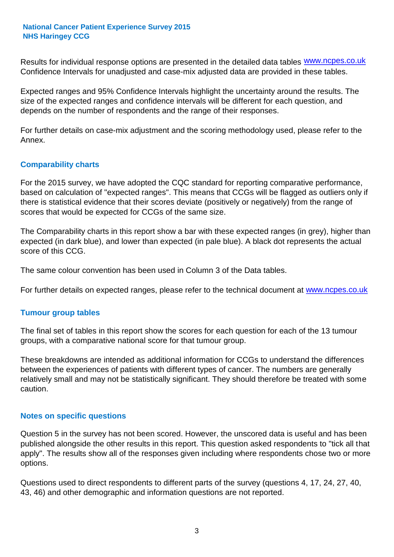Results for individual response options are presented in the detailed data tables **WWW.ncpes.co.uk** Confidence Intervals for unadjusted and case-mix adjusted data are provided in these tables.

Expected ranges and 95% Confidence Intervals highlight the uncertainty around the results. The size of the expected ranges and confidence intervals will be different for each question, and depends on the number of respondents and the range of their responses.

For further details on case-mix adjustment and the scoring methodology used, please refer to the Annex.

#### **Comparability charts**

For the 2015 survey, we have adopted the CQC standard for reporting comparative performance, based on calculation of "expected ranges". This means that CCGs will be flagged as outliers only if there is statistical evidence that their scores deviate (positively or negatively) from the range of scores that would be expected for CCGs of the same size.

The Comparability charts in this report show a bar with these expected ranges (in grey), higher than expected (in dark blue), and lower than expected (in pale blue). A black dot represents the actual score of this CCG.

The same colour convention has been used in Column 3 of the Data tables.

For further details on expected ranges, please refer to the technical document at **www.ncpes.co.uk** 

#### **Tumour group tables**

The final set of tables in this report show the scores for each question for each of the 13 tumour groups, with a comparative national score for that tumour group.

These breakdowns are intended as additional information for CCGs to understand the differences between the experiences of patients with different types of cancer. The numbers are generally relatively small and may not be statistically significant. They should therefore be treated with some caution.

#### **Notes on specific questions**

Question 5 in the survey has not been scored. However, the unscored data is useful and has been published alongside the other results in this report. This question asked respondents to "tick all that apply". The results show all of the responses given including where respondents chose two or more options.

Questions used to direct respondents to different parts of the survey (questions 4, 17, 24, 27, 40, 43, 46) and other demographic and information questions are not reported.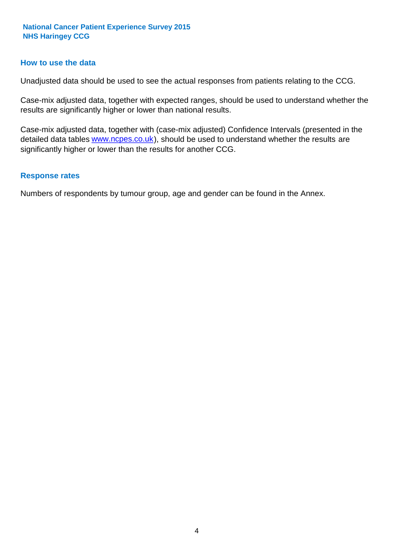#### **How to use the data**

Unadjusted data should be used to see the actual responses from patients relating to the CCG.

Case-mix adjusted data, together with expected ranges, should be used to understand whether the results are significantly higher or lower than national results.

Case-mix adjusted data, together with (case-mix adjusted) Confidence Intervals (presented in the detailed data tables **www.ncpes.co.uk**), should be used to understand whether the results are significantly higher or lower than the results for another CCG.

#### **Response rates**

Numbers of respondents by tumour group, age and gender can be found in the Annex.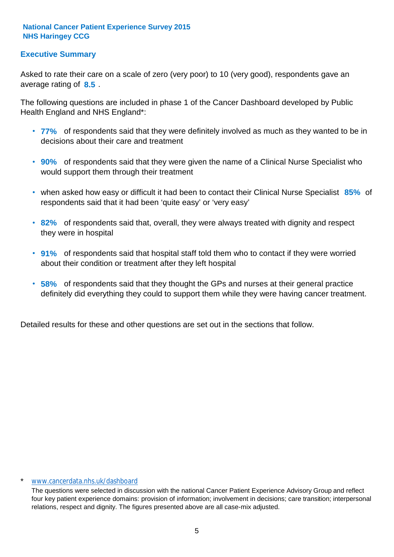### **Executive Summary**

average rating of 8.5. Asked to rate their care on a scale of zero (very poor) to 10 (very good), respondents gave an

The following questions are included in phase 1 of the Cancer Dashboard developed by Public Health England and NHS England\*:

- **77%** of respondents said that they were definitely involved as much as they wanted to be in decisions about their care and treatment
- **90%** of respondents said that they were given the name of a Clinical Nurse Specialist who would support them through their treatment
- when asked how easy or difficult it had been to contact their Clinical Nurse Specialist 85% of respondents said that it had been 'quite easy' or 'very easy'
- **82%** of respondents said that, overall, they were always treated with dignity and respect they were in hospital
- **91%** of respondents said that hospital staff told them who to contact if they were worried about their condition or treatment after they left hospital
- **58%** of respondents said that they thought the GPs and nurses at their general practice definitely did everything they could to support them while they were having cancer treatment.

Detailed results for these and other questions are set out in the sections that follow.

#### \* www.cancerdata.nhs.uk/dashboard

The questions were selected in discussion with the national Cancer Patient Experience Advisory Group and reflect four key patient experience domains: provision of information; involvement in decisions; care transition; interpersonal relations, respect and dignity. The figures presented above are all case-mix adjusted.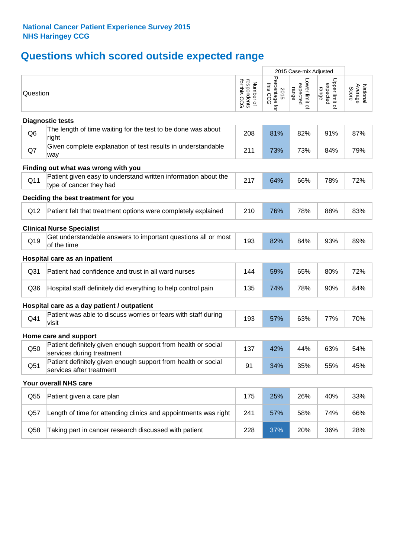# **Questions which scored outside expected range**

|                 |                                                                                            |                                          |                                    | 2015 Case-mix Adjusted             |                                     |                              |  |  |  |  |
|-----------------|--------------------------------------------------------------------------------------------|------------------------------------------|------------------------------------|------------------------------------|-------------------------------------|------------------------------|--|--|--|--|
| Question        |                                                                                            | respondents<br>for this CCG<br>Number of | Percentage for<br>this CCG<br>2015 | Lower limit o<br>expected<br>range | Upper limit of<br>expected<br>range | National<br>Average<br>Score |  |  |  |  |
|                 | <b>Diagnostic tests</b>                                                                    |                                          |                                    |                                    |                                     |                              |  |  |  |  |
| Q <sub>6</sub>  | The length of time waiting for the test to be done was about<br>right                      | 208                                      | 81%                                | 82%                                | 91%                                 | 87%                          |  |  |  |  |
| Q7              | Given complete explanation of test results in understandable<br>way                        | 211                                      | 73%                                | 73%                                | 84%                                 | 79%                          |  |  |  |  |
|                 | Finding out what was wrong with you                                                        |                                          |                                    |                                    |                                     |                              |  |  |  |  |
| Q11             | Patient given easy to understand written information about the<br>type of cancer they had  | 217                                      | 64%                                | 66%                                | 78%                                 | 72%                          |  |  |  |  |
|                 | Deciding the best treatment for you                                                        |                                          |                                    |                                    |                                     |                              |  |  |  |  |
| Q12             | Patient felt that treatment options were completely explained                              | 210                                      | 76%                                | 78%                                | 88%                                 | 83%                          |  |  |  |  |
|                 | <b>Clinical Nurse Specialist</b>                                                           |                                          |                                    |                                    |                                     |                              |  |  |  |  |
| Q19             | Get understandable answers to important questions all or most<br>of the time               | 193                                      | 82%                                | 84%                                | 93%                                 | 89%                          |  |  |  |  |
|                 | Hospital care as an inpatient                                                              |                                          |                                    |                                    |                                     |                              |  |  |  |  |
| Q <sub>31</sub> | Patient had confidence and trust in all ward nurses                                        | 144                                      | 59%                                | 65%                                | 80%                                 | 72%                          |  |  |  |  |
| Q36             | Hospital staff definitely did everything to help control pain                              | 135                                      | 74%                                | 78%                                | 90%                                 | 84%                          |  |  |  |  |
|                 | Hospital care as a day patient / outpatient                                                |                                          |                                    |                                    |                                     |                              |  |  |  |  |
| Q41             | Patient was able to discuss worries or fears with staff during<br>visit                    | 193                                      | 57%                                | 63%                                | 77%                                 | 70%                          |  |  |  |  |
|                 | Home care and support                                                                      |                                          |                                    |                                    |                                     |                              |  |  |  |  |
| Q50             | Patient definitely given enough support from health or social<br>services during treatment | 137                                      | 42%                                | 44%                                | 63%                                 | 54%                          |  |  |  |  |
| Q <sub>51</sub> | Patient definitely given enough support from health or social<br>services after treatment  | 91                                       | 34%                                | 35%                                | 55%                                 | 45%                          |  |  |  |  |
|                 | Your overall NHS care                                                                      |                                          |                                    |                                    |                                     |                              |  |  |  |  |
| Q55             | Patient given a care plan                                                                  | 175                                      | 25%                                | 26%                                | 40%                                 | 33%                          |  |  |  |  |
| Q57             | Length of time for attending clinics and appointments was right                            | 241                                      | 57%                                | 58%                                | 74%                                 | 66%                          |  |  |  |  |
| Q58             | Taking part in cancer research discussed with patient                                      | 228                                      | 37%                                | 20%                                | 36%                                 | 28%                          |  |  |  |  |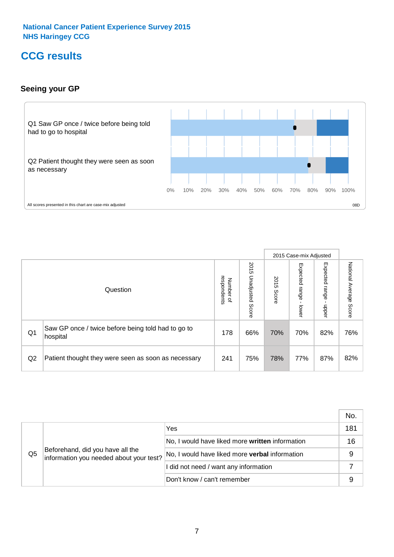# **CCG results**

### **Seeing your GP**



|    |                                                                |                                         |                             |               | 2015 Case-mix Adjusted     |                            |                        |
|----|----------------------------------------------------------------|-----------------------------------------|-----------------------------|---------------|----------------------------|----------------------------|------------------------|
|    | Question                                                       | respondents<br>Number<br>$\overline{a}$ | 2015<br>Unadjusted<br>Score | 2015<br>Score | Expected<br>range<br>lower | Expected<br>range<br>nbber | National Average Score |
| Q1 | Saw GP once / twice before being told had to go to<br>hospital | 178                                     | 66%                         | 70%           | 70%                        | 82%                        | 76%                    |
| Q2 | Patient thought they were seen as soon as necessary            | 241                                     | 75%                         | 78%           | 77%                        | 87%                        | 82%                    |

|                |                                                                             |                                                       | No. |
|----------------|-----------------------------------------------------------------------------|-------------------------------------------------------|-----|
|                | Beforehand, did you have all the<br>information you needed about your test? | Yes                                                   | 181 |
|                |                                                                             | No, I would have liked more written information       | 16  |
| Q <sub>5</sub> |                                                                             | No, I would have liked more <b>verbal</b> information | 9   |
|                |                                                                             | I did not need / want any information                 |     |
|                |                                                                             | Don't know / can't remember                           |     |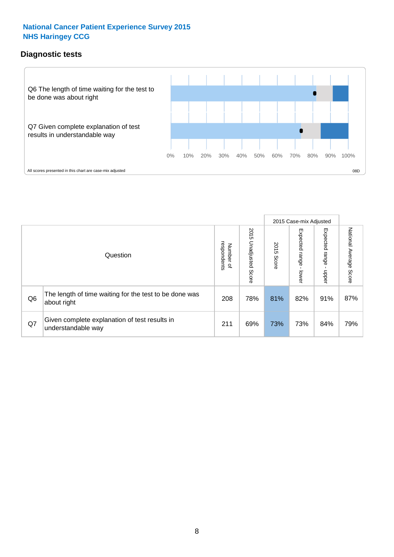### **Diagnostic tests**



|                |                                                                       |                                       |                             |               | 2015 Case-mix Adjusted  |                         |                           |
|----------------|-----------------------------------------------------------------------|---------------------------------------|-----------------------------|---------------|-------------------------|-------------------------|---------------------------|
|                | Question                                                              | respondents<br>Number<br>$\mathbf{Q}$ | 2015<br>Unadjusted<br>Score | 2015<br>Score | Expected range<br>lower | Expected range<br>nbber | National Average<br>Score |
| Q <sub>6</sub> | The length of time waiting for the test to be done was<br>about right | 208                                   | 78%                         | 81%           | 82%                     | 91%                     | 87%                       |
| Q7             | Given complete explanation of test results in<br>understandable way   | 211                                   | 69%                         | 73%           | 73%                     | 84%                     | 79%                       |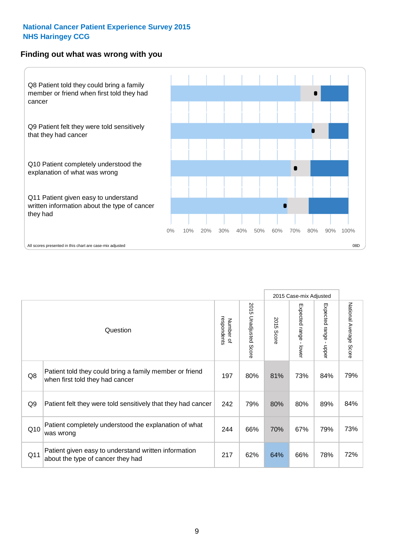#### **Finding out what was wrong with you**



|                |                                                                                            |                          |                                 |                      | 2015 Case-mix Adjusted                  |                                           |                        |
|----------------|--------------------------------------------------------------------------------------------|--------------------------|---------------------------------|----------------------|-----------------------------------------|-------------------------------------------|------------------------|
|                | Question                                                                                   | respondents<br>Number of | 2015<br><b>Unadjusted Score</b> | 2015<br><b>Score</b> | Expected range<br>$\mathbf{I}$<br>lower | Expected range<br>$\blacksquare$<br>nbber | National Average Score |
| Q8             | Patient told they could bring a family member or friend<br>when first told they had cancer | 197                      | 80%                             | 81%                  | 73%                                     | 84%                                       | 79%                    |
| Q <sub>9</sub> | Patient felt they were told sensitively that they had cancer                               | 242                      | 79%                             | 80%                  | 80%                                     | 89%                                       | 84%                    |
| Q10            | Patient completely understood the explanation of what<br>was wrong                         | 244                      | 66%                             | 70%                  | 67%                                     | 79%                                       | 73%                    |
| Q11            | Patient given easy to understand written information<br>about the type of cancer they had  | 217                      | 62%                             | 64%                  | 66%                                     | 78%                                       | 72%                    |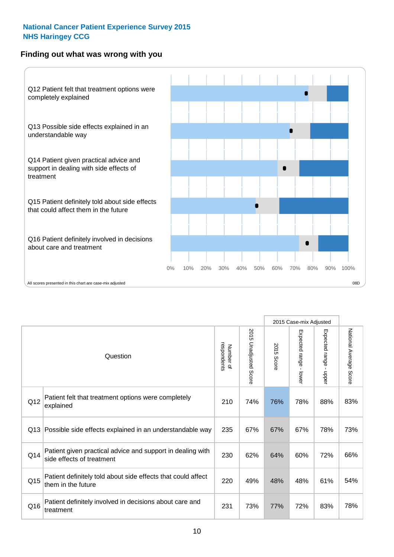### **Finding out what was wrong with you**



|          |                                                                                         |                          |                       |            | 2015 Case-mix Adjusted                  |                           |                        |
|----------|-----------------------------------------------------------------------------------------|--------------------------|-----------------------|------------|-----------------------------------------|---------------------------|------------------------|
| Question |                                                                                         | respondents<br>Number of | 2015 Unadjusted Score | 2015 Score | Expected range<br>$\mathbf{r}$<br>lower | Expected range -<br>nbber | National Average Score |
| Q12      | Patient felt that treatment options were completely<br>explained                        | 210                      | 74%                   | 76%        | 78%                                     | 88%                       | 83%                    |
| Q13      | Possible side effects explained in an understandable way                                | 235                      | 67%                   | 67%        | 67%                                     | 78%                       | 73%                    |
| Q14      | Patient given practical advice and support in dealing with<br>side effects of treatment | 230                      | 62%                   | 64%        | 60%                                     | 72%                       | 66%                    |
| Q15      | Patient definitely told about side effects that could affect<br>them in the future      | 220                      | 49%                   | 48%        | 48%                                     | 61%                       | 54%                    |
| Q16      | Patient definitely involved in decisions about care and<br>treatment                    | 231                      | 73%                   | 77%        | 72%                                     | 83%                       | 78%                    |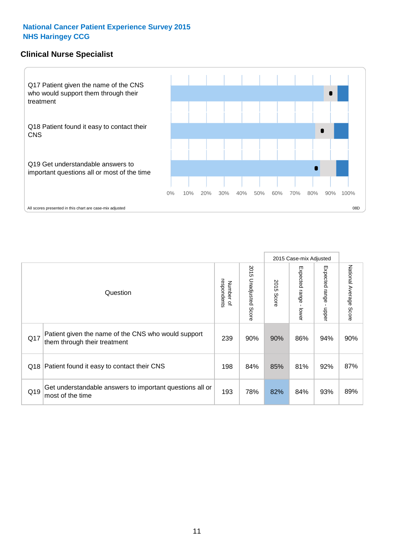### **Clinical Nurse Specialist**



|     |                                                                                     |                          |                       |               | 2015 Case-mix Adjusted  |                         |                           |
|-----|-------------------------------------------------------------------------------------|--------------------------|-----------------------|---------------|-------------------------|-------------------------|---------------------------|
|     | Question                                                                            | respondents<br>Number of | 2015 Unadjusted Score | 2015<br>Score | Expected range<br>lower | Expected range<br>nbber | National Average<br>Score |
| Q17 | Patient given the name of the CNS who would support<br>them through their treatment | 239                      | 90%                   | 90%           | 86%                     | 94%                     | 90%                       |
| Q18 | Patient found it easy to contact their CNS                                          | 198                      | 84%                   | 85%           | 81%                     | 92%                     | 87%                       |
| Q19 | Get understandable answers to important questions all or<br>most of the time        | 193                      | 78%                   | 82%           | 84%                     | 93%                     | 89%                       |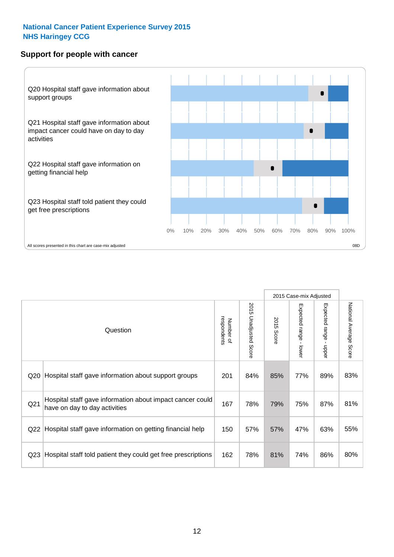#### **Support for people with cancer**



|                 |                                                                                            |                          |                                 |               | 2015 Case-mix Adjusted  |                           |                        |
|-----------------|--------------------------------------------------------------------------------------------|--------------------------|---------------------------------|---------------|-------------------------|---------------------------|------------------------|
|                 | Question                                                                                   | respondents<br>Number of | 2015<br><b>Unadjusted Score</b> | 2015<br>Score | Expected range<br>lower | Expected range<br>- nbber | National Average Score |
| Q20             | Hospital staff gave information about support groups                                       | 201                      | 84%                             | 85%           | 77%                     | 89%                       | 83%                    |
| Q <sub>21</sub> | Hospital staff gave information about impact cancer could<br>have on day to day activities | 167                      | 78%                             | 79%           | 75%                     | 87%                       | 81%                    |
| Q22             | Hospital staff gave information on getting financial help                                  | 150                      | 57%                             | 57%           | 47%                     | 63%                       | 55%                    |
| Q <sub>23</sub> | Hospital staff told patient they could get free prescriptions                              | 162                      | 78%                             | 81%           | 74%                     | 86%                       | 80%                    |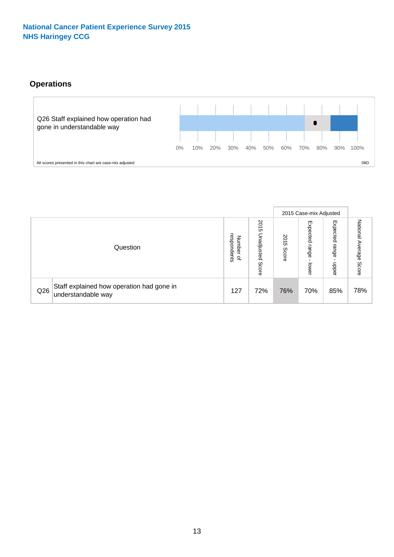# **Operations**



|     |                                                                 |                                              |                             |               | 2015 Case-mix Adjusted     |                           |                              |
|-----|-----------------------------------------------------------------|----------------------------------------------|-----------------------------|---------------|----------------------------|---------------------------|------------------------------|
|     | Question                                                        | respondents<br>Number<br>$\overline{\sigma}$ | 2015<br>Unadjusted<br>Score | 2015<br>Score | Expected<br>range<br>lower | Expected<br>range<br>dddn | National<br>Average<br>Score |
| Q26 | Staff explained how operation had gone in<br>understandable way | 127                                          | 72%                         | 76%           | 70%                        | 85%                       | 78%                          |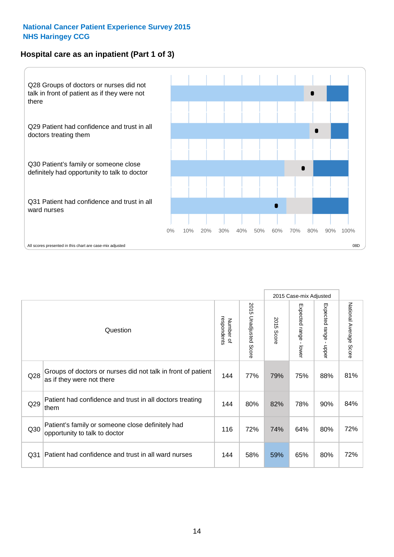## **Hospital care as an inpatient (Part 1 of 3)**



All scores presented in this chart are case-mix adjusted (38D) (38D) (38D) (38D) (38D) (38D) (38D) (38D) (38D) (38D) (38D) (38D) (38D) (38D) (38D) (38D) (38D) (38D) (38D) (38D) (38D) (38D) (38D) (38D) (38D) (38D) (38D) (38

|                 |                                                                                           |                          |                                 |               | 2015 Case-mix Adjusted                    |                           |                        |
|-----------------|-------------------------------------------------------------------------------------------|--------------------------|---------------------------------|---------------|-------------------------------------------|---------------------------|------------------------|
|                 | Question                                                                                  | respondents<br>Number of | 2015<br><b>Unadjusted Score</b> | 2015<br>Score | Expected range<br>$\blacksquare$<br>lower | Expected range<br>- nbber | National Average Score |
| Q28             | Groups of doctors or nurses did not talk in front of patient<br>as if they were not there | 144                      | 77%                             | 79%           | 75%                                       | 88%                       | 81%                    |
| Q29             | Patient had confidence and trust in all doctors treating<br>them                          | 144                      | 80%                             | 82%           | 78%                                       | 90%                       | 84%                    |
| Q30             | Patient's family or someone close definitely had<br>opportunity to talk to doctor         | 116                      | 72%                             | 74%           | 64%                                       | 80%                       | 72%                    |
| Q <sub>31</sub> | Patient had confidence and trust in all ward nurses                                       | 144                      | 58%                             | 59%           | 65%                                       | 80%                       | 72%                    |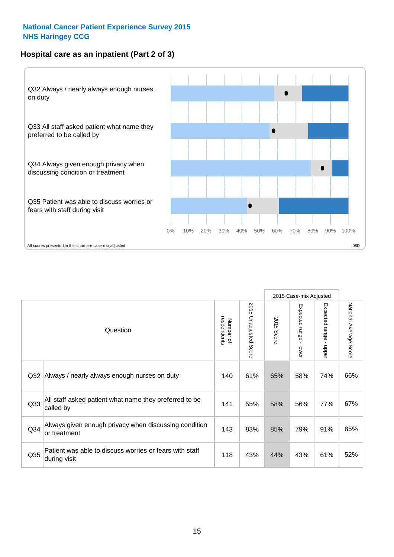### **Hospital care as an inpatient (Part 2 of 3)**



|                 |                                                                         |                          |                                 |               | 2015 Case-mix Adjusted                  |                           |                        |
|-----------------|-------------------------------------------------------------------------|--------------------------|---------------------------------|---------------|-----------------------------------------|---------------------------|------------------------|
|                 | Question                                                                | respondents<br>Number of | 2015<br><b>Unadjusted Score</b> | 2015<br>Score | Expected range<br>$\mathbf{L}$<br>lower | Expected range -<br>nbber | National Average Score |
| Q <sub>32</sub> | Always / nearly always enough nurses on duty                            | 140                      | 61%                             | 65%           | 58%                                     | 74%                       | 66%                    |
| Q <sub>33</sub> | All staff asked patient what name they preferred to be<br>called by     | 141                      | 55%                             | 58%           | 56%                                     | 77%                       | 67%                    |
| Q34             | Always given enough privacy when discussing condition<br>or treatment   | 143                      | 83%                             | 85%           | 79%                                     | 91%                       | 85%                    |
| Q <sub>35</sub> | Patient was able to discuss worries or fears with staff<br>during visit | 118                      | 43%                             | 44%           | 43%                                     | 61%                       | 52%                    |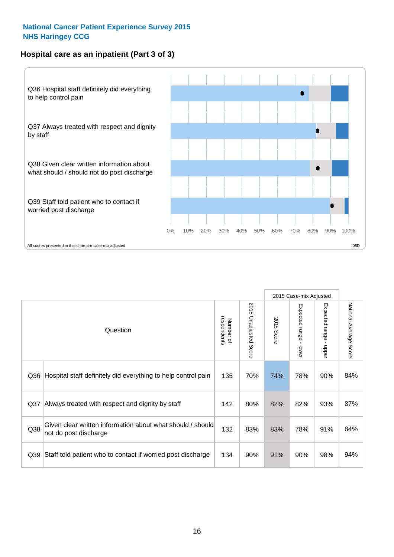### **Hospital care as an inpatient (Part 3 of 3)**



|                 |                                                                                     |                          |                                 |               | 2015 Case-mix Adjusted                    |                                           |                        |
|-----------------|-------------------------------------------------------------------------------------|--------------------------|---------------------------------|---------------|-------------------------------------------|-------------------------------------------|------------------------|
|                 | Question                                                                            | Number of<br>respondents | 2015<br><b>Unadjusted Score</b> | 2015<br>Score | Expected range<br>$\blacksquare$<br>lower | Expected range<br>$\blacksquare$<br>nbber | National Average Score |
| Q36             | Hospital staff definitely did everything to help control pain                       | 135                      | 70%                             | 74%           | 78%                                       | 90%                                       | 84%                    |
| Q <sub>37</sub> | Always treated with respect and dignity by staff                                    | 142                      | 80%                             | 82%           | 82%                                       | 93%                                       | 87%                    |
| Q38             | Given clear written information about what should / should<br>not do post discharge | 132                      | 83%                             | 83%           | 78%                                       | 91%                                       | 84%                    |
| Q39             | Staff told patient who to contact if worried post discharge                         | 134                      | 90%                             | 91%           | 90%                                       | 98%                                       | 94%                    |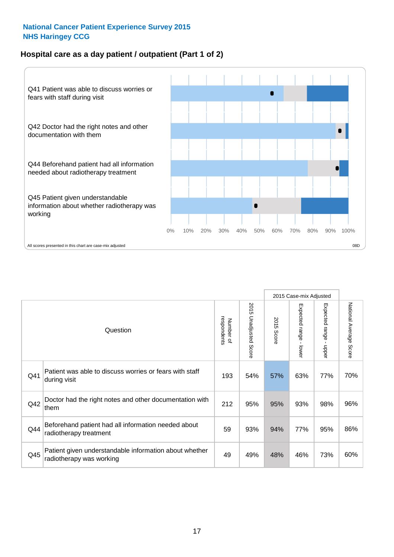### **Hospital care as a day patient / outpatient (Part 1 of 2)**



|     |                                                                                    |                          |                                 |                      | 2015 Case-mix Adjusted                    |                                           |                        |
|-----|------------------------------------------------------------------------------------|--------------------------|---------------------------------|----------------------|-------------------------------------------|-------------------------------------------|------------------------|
|     | Question                                                                           | respondents<br>Number of | 2015<br><b>Unadjusted Score</b> | 2015<br><b>Score</b> | Expected range<br>$\blacksquare$<br>lower | Expected range<br>$\blacksquare$<br>nbber | National Average Score |
| Q41 | Patient was able to discuss worries or fears with staff<br>during visit            | 193                      | 54%                             | 57%                  | 63%                                       | 77%                                       | 70%                    |
| Q42 | Doctor had the right notes and other documentation with<br>them                    | 212                      | 95%                             | 95%                  | 93%                                       | 98%                                       | 96%                    |
| Q44 | Beforehand patient had all information needed about<br>radiotherapy treatment      | 59                       | 93%                             | 94%                  | 77%                                       | 95%                                       | 86%                    |
| Q45 | Patient given understandable information about whether<br>radiotherapy was working | 49                       | 49%                             | 48%                  | 46%                                       | 73%                                       | 60%                    |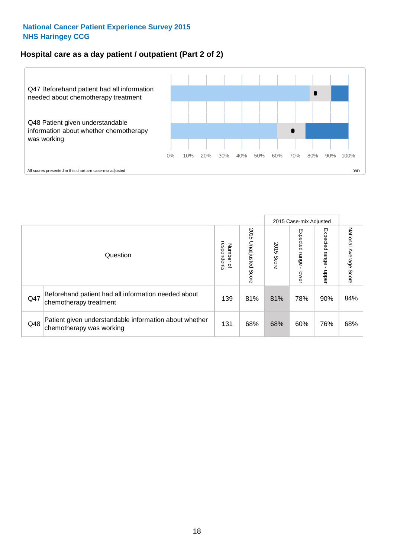### **Hospital care as a day patient / outpatient (Part 2 of 2)**



|     |                                                                                    |                                       |                             |               |                              | 2015 Case-mix Adjusted  |                           |
|-----|------------------------------------------------------------------------------------|---------------------------------------|-----------------------------|---------------|------------------------------|-------------------------|---------------------------|
|     | Question                                                                           | respondents<br>Number<br>$\mathbf{Q}$ | 2015<br>Unadjusted<br>Score | 2015<br>Score | Expected<br>I range<br>lower | Expected range<br>nbber | National Average<br>Score |
| Q47 | Beforehand patient had all information needed about<br>chemotherapy treatment      | 139                                   | 81%                         | 81%           | 78%                          | 90%                     | 84%                       |
| Q48 | Patient given understandable information about whether<br>chemotherapy was working | 131                                   | 68%                         | 68%           | 60%                          | 76%                     | 68%                       |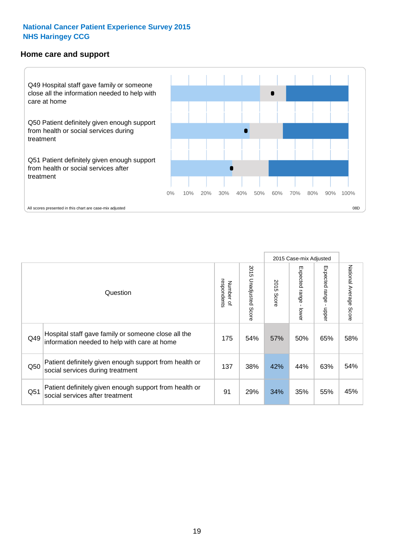#### **Home care and support**



Expected range - lower

Expected range - upper

Expected range - upper

National Average Score

National Average Score

2015 Case-mix Adjusted 2015 Unadjusted Score 2015 Unadjusted Score Expected range - lower Number of<br>respondents 2015 Score respondents 2015 Score Number of Question Hospital staff gave family or someone close all the  $Q49$  information needed to help with care at home  $175$  |  $54\%$  |  $57\%$  |  $50\%$  |  $65\%$  |  $58\%$ 

Patient definitely given enough support from health or

Patient definitely given enough support from health or

 $\frac{137}{\sqrt{137}}$  38% 42% 44% 63% 54%

 $\frac{1}{251}$  social services after treatment  $\frac{1}{25\%}$  34% 35% 35% 35% 45%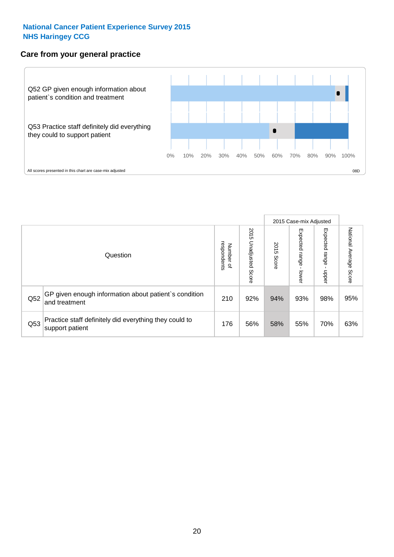### **Care from your general practice**



|     |                                                                           |                                       |                             |               |                                   | 2015 Case-mix Adjusted     |                           |
|-----|---------------------------------------------------------------------------|---------------------------------------|-----------------------------|---------------|-----------------------------------|----------------------------|---------------------------|
|     | Question                                                                  | respondents<br>Number<br>$\mathbf{Q}$ | 2015<br>Unadjusted<br>Score | 2015<br>Score | Expected<br><b>Lange</b><br>lower | Expected<br>range<br>doper | National Average<br>Score |
| Q52 | GP given enough information about patient's condition<br>and treatment    | 210                                   | 92%                         | 94%           | 93%                               | 98%                        | 95%                       |
| Q53 | Practice staff definitely did everything they could to<br>support patient | 176                                   | 56%                         | 58%           | 55%                               | 70%                        | 63%                       |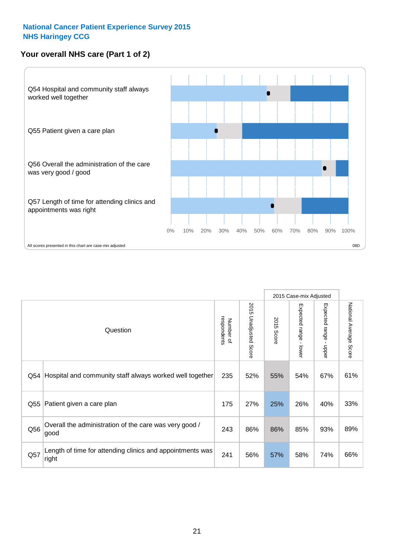### **Your overall NHS care (Part 1 of 2)**



|     |                                                                    |                          |                          |               | 2015 Case-mix Adjusted                    |                                           |                        |
|-----|--------------------------------------------------------------------|--------------------------|--------------------------|---------------|-------------------------------------------|-------------------------------------------|------------------------|
|     | Question                                                           | respondents<br>Number of | 2015<br>Unadjusted Score | 2015<br>Score | Expected range<br>$\blacksquare$<br>lower | Expected range<br>$\blacksquare$<br>nbber | National Average Score |
| Q54 | Hospital and community staff always worked well together           | 235                      | 52%                      | 55%           | 54%                                       | 67%                                       | 61%                    |
| Q55 | Patient given a care plan                                          | 175                      | 27%                      | 25%           | 26%                                       | 40%                                       | 33%                    |
| Q56 | Overall the administration of the care was very good /<br>good     | 243                      | 86%                      | 86%           | 85%                                       | 93%                                       | 89%                    |
| Q57 | Length of time for attending clinics and appointments was<br>right | 241                      | 56%                      | 57%           | 58%                                       | 74%                                       | 66%                    |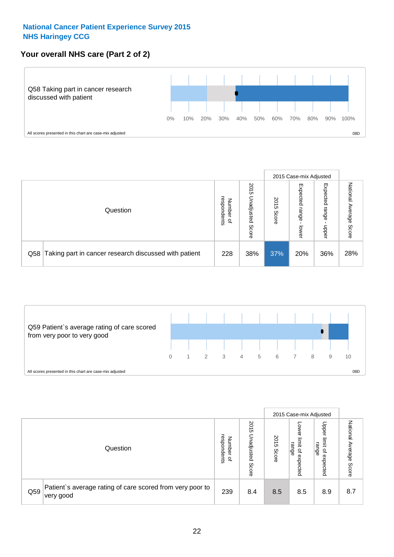### **Your overall NHS care (Part 2 of 2)**



|     |                                                       |                                              |                             |               |                            | 2015 Case-mix Adjusted     |                        |
|-----|-------------------------------------------------------|----------------------------------------------|-----------------------------|---------------|----------------------------|----------------------------|------------------------|
|     | Question                                              | respondents<br>Number<br>$\overline{\sigma}$ | 2015<br>Unadjusted<br>Score | 2015<br>Score | Expected<br>range<br>lower | Expected<br>range<br>doper | National Average Score |
| Q58 | Taking part in cancer research discussed with patient | 228                                          | 38%                         | 37%           | 20%                        | 36%                        | 28%                    |



|     |                                                                        |                                              |                             |               |                                                    | 2015 Case-mix Adjusted                                |                                     |
|-----|------------------------------------------------------------------------|----------------------------------------------|-----------------------------|---------------|----------------------------------------------------|-------------------------------------------------------|-------------------------------------|
|     | Question                                                               | respondents<br>Number<br>$\overline{\sigma}$ | 2015<br>Unadjusted<br>Score | 2015<br>Score | OWer<br>limit<br>range<br>$\mathbf{a}$<br>expected | Upper<br>limit<br>range<br>$\overline{a}$<br>expected | National<br>Average<br><b>Score</b> |
| Q59 | Patient's average rating of care scored from very poor to<br>very good | 239                                          | 8.4                         | 8.5           | 8.5                                                | 8.9                                                   | 8.7                                 |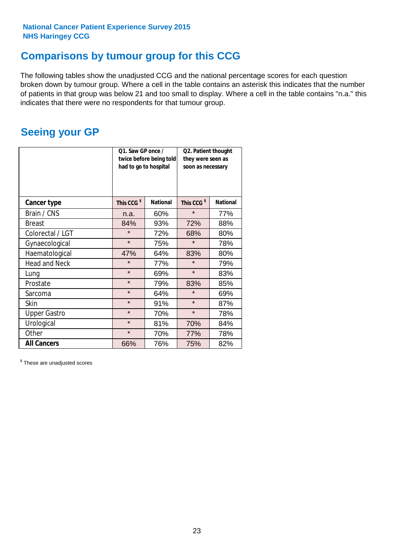# **Comparisons by tumour group for this CCG**

The following tables show the unadjusted CCG and the national percentage scores for each question broken down by tumour group. Where a cell in the table contains an asterisk this indicates that the number of patients in that group was below 21 and too small to display. Where a cell in the table contains "n.a." this indicates that there were no respondents for that tumour group.

# **Seeing your GP**

|                      | Q1. Saw GP once /<br>had to go to hospital | twice before being told | Q2. Patient thought<br>they were seen as<br>soon as necessary |                 |  |
|----------------------|--------------------------------------------|-------------------------|---------------------------------------------------------------|-----------------|--|
| <b>Cancer type</b>   | This CCG <sup>\$</sup>                     | <b>National</b>         | This CCG <sup>\$</sup>                                        | <b>National</b> |  |
| Brain / CNS          | n.a.                                       | 60%                     | $\star$                                                       | 77%             |  |
| <b>Breast</b>        | 84%                                        | 93%                     | 72%                                                           | 88%             |  |
| Colorectal / LGT     | $\star$                                    | 72%                     | 68%                                                           | 80%             |  |
| Gynaecological       | $\star$                                    | 75%                     | $\star$                                                       | 78%             |  |
| Haematological       | 47%                                        | 64%                     | 83%                                                           | 80%             |  |
| <b>Head and Neck</b> | $\star$                                    | 77%                     | $\star$                                                       | 79%             |  |
| Lung                 | $\star$                                    | 69%                     | $\star$                                                       | 83%             |  |
| Prostate             | $\star$                                    | 79%                     | 83%                                                           | 85%             |  |
| Sarcoma              | $\star$                                    | 64%                     | $\star$                                                       | 69%             |  |
| <b>Skin</b>          | $\star$                                    | 91%                     | $\star$                                                       | 87%             |  |
| <b>Upper Gastro</b>  | $\star$                                    | 70%                     | $\star$                                                       | 78%             |  |
| Urological           | $\star$                                    | 81%                     | 70%                                                           | 84%             |  |
| Other                | $\star$                                    | 70%                     | 77%                                                           | 78%             |  |
| <b>All Cancers</b>   | 66%                                        | 76%                     | 75%                                                           | 82%             |  |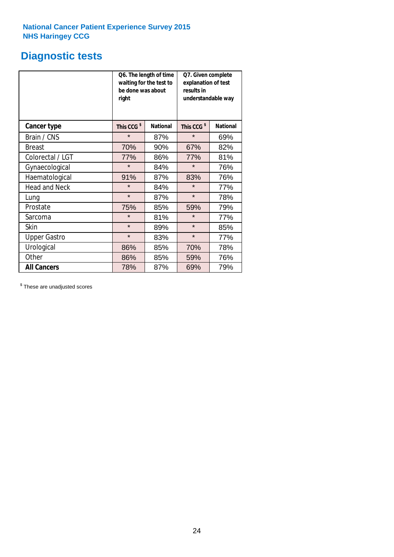# **Diagnostic tests**

|                      | be done was about<br>right | Q6. The length of time<br>waiting for the test to | Q7. Given complete<br>explanation of test<br>results in<br>understandable way |                 |  |  |
|----------------------|----------------------------|---------------------------------------------------|-------------------------------------------------------------------------------|-----------------|--|--|
| <b>Cancer type</b>   | This CCG <sup>\$</sup>     | <b>National</b>                                   | This CCG <sup>\$</sup>                                                        | <b>National</b> |  |  |
| Brain / CNS          | $\star$                    | 87%                                               | $\star$                                                                       | 69%             |  |  |
| <b>Breast</b>        | 70%                        | 90%                                               | 67%                                                                           | 82%             |  |  |
| Colorectal / LGT     | 77%                        | 86%                                               | 77%                                                                           | 81%             |  |  |
| Gynaecological       | $\star$                    | 84%                                               | $\star$                                                                       | 76%             |  |  |
| Haematological       | 91%                        | 87%                                               | 83%                                                                           | 76%             |  |  |
| <b>Head and Neck</b> | $\star$                    | 84%                                               | $\star$                                                                       | 77%             |  |  |
| Lung                 | $\star$                    | 87%                                               | $\star$                                                                       | 78%             |  |  |
| Prostate             | 75%                        | 85%                                               | 59%                                                                           | 79%             |  |  |
| Sarcoma              | $\star$                    | 81%                                               | $\star$                                                                       | 77%             |  |  |
| <b>Skin</b>          | $\star$                    | 89%                                               | $\star$                                                                       | 85%             |  |  |
| <b>Upper Gastro</b>  | $\star$                    | 83%                                               | $\star$                                                                       | 77%             |  |  |
| Urological           | 86%                        | 85%                                               | 70%                                                                           | 78%             |  |  |
| Other                | 86%                        | 85%                                               | 59%                                                                           | 76%             |  |  |
| <b>All Cancers</b>   | 78%                        | 87%                                               | 69%                                                                           | 79%             |  |  |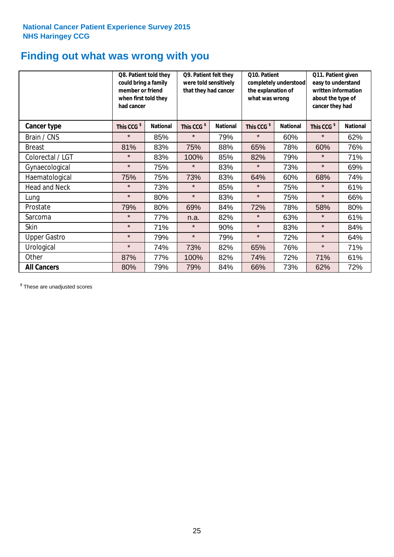# **Finding out what was wrong with you**

|                      | Q8. Patient told they<br>could bring a family<br>member or friend<br>when first told they<br>had cancer |                 | Q9. Patient felt they<br>were told sensitively<br>that they had cancer |                 | Q10. Patient<br>completely understood<br>the explanation of<br>what was wrong |                 | Q11. Patient given<br>easy to understand<br>written information<br>about the type of<br>cancer they had |                 |
|----------------------|---------------------------------------------------------------------------------------------------------|-----------------|------------------------------------------------------------------------|-----------------|-------------------------------------------------------------------------------|-----------------|---------------------------------------------------------------------------------------------------------|-----------------|
| <b>Cancer type</b>   | This CCG <sup>\$</sup>                                                                                  | <b>National</b> | This CCG <sup>\$</sup>                                                 | <b>National</b> | This CCG <sup>\$</sup>                                                        | <b>National</b> | This CCG <sup>\$</sup>                                                                                  | <b>National</b> |
| Brain / CNS          | $\star$                                                                                                 | 85%             | $\star$                                                                | 79%             | $\star$                                                                       | 60%             | $\star$                                                                                                 | 62%             |
| <b>Breast</b>        | 81%                                                                                                     | 83%             | 75%                                                                    | 88%             | 65%                                                                           | 78%             | 60%                                                                                                     | 76%             |
| Colorectal / LGT     | $\star$                                                                                                 | 83%             | 100%                                                                   | 85%             | 82%                                                                           | 79%             | $\star$                                                                                                 | 71%             |
| Gynaecological       | $\star$                                                                                                 | 75%             | $\star$                                                                | 83%             | $\star$                                                                       | 73%             | $\star$                                                                                                 | 69%             |
| Haematological       | 75%                                                                                                     | 75%             | 73%                                                                    | 83%             | 64%                                                                           | 60%             | 68%                                                                                                     | 74%             |
| <b>Head and Neck</b> | $\star$                                                                                                 | 73%             | $\star$                                                                | 85%             | $\star$                                                                       | 75%             | $\star$                                                                                                 | 61%             |
| Lung                 | $\star$                                                                                                 | 80%             | $\star$                                                                | 83%             | $\star$                                                                       | 75%             | $\star$                                                                                                 | 66%             |
| Prostate             | 79%                                                                                                     | 80%             | 69%                                                                    | 84%             | 72%                                                                           | 78%             | 58%                                                                                                     | 80%             |
| Sarcoma              | $\star$                                                                                                 | 77%             | n.a.                                                                   | 82%             | $\star$                                                                       | 63%             | $\star$                                                                                                 | 61%             |
| Skin                 | $\star$                                                                                                 | 71%             | $\star$                                                                | 90%             | $\star$                                                                       | 83%             | $\star$                                                                                                 | 84%             |
| <b>Upper Gastro</b>  | $\star$                                                                                                 | 79%             | $\star$                                                                | 79%             | $\star$                                                                       | 72%             | $\star$                                                                                                 | 64%             |
| Urological           | $\star$                                                                                                 | 74%             | 73%                                                                    | 82%             | 65%                                                                           | 76%             | $\star$                                                                                                 | 71%             |
| Other                | 87%                                                                                                     | 77%             | 100%                                                                   | 82%             | 74%                                                                           | 72%             | 71%                                                                                                     | 61%             |
| <b>All Cancers</b>   | 80%                                                                                                     | 79%             | 79%                                                                    | 84%             | 66%                                                                           | 73%             | 62%                                                                                                     | 72%             |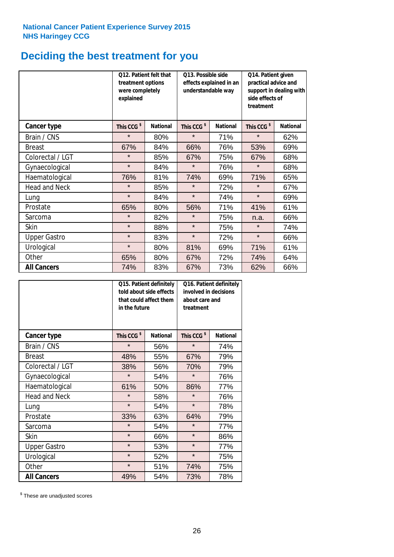# **Deciding the best treatment for you**

|                      | treatment options<br>were completely<br>explained | Q12. Patient felt that | Q13. Possible side<br>understandable way | effects explained in an | Q14. Patient given<br>practical advice and<br>support in dealing with<br>side effects of<br>treatment |                 |  |
|----------------------|---------------------------------------------------|------------------------|------------------------------------------|-------------------------|-------------------------------------------------------------------------------------------------------|-----------------|--|
| <b>Cancer type</b>   | This CCG <sup>\$</sup>                            | <b>National</b>        | This CCG <sup>\$</sup>                   | <b>National</b>         | This CCG <sup>\$</sup>                                                                                | <b>National</b> |  |
| Brain / CNS          | $\star$                                           | 80%                    | $\star$                                  | 71%                     | $\star$                                                                                               | 62%             |  |
| <b>Breast</b>        | 67%                                               | 84%                    | 66%                                      | 76%                     | 53%                                                                                                   | 69%             |  |
| Colorectal / LGT     | $\star$                                           | 85%                    | 67%                                      | 75%                     | 67%                                                                                                   | 68%             |  |
| Gynaecological       | $\star$                                           | 84%                    | $\star$                                  | 76%                     | $\star$                                                                                               | 68%             |  |
| Haematological       | 76%                                               | 81%                    | 74%                                      | 69%                     | 71%                                                                                                   | 65%             |  |
| <b>Head and Neck</b> | $\star$                                           | 85%                    | $\star$                                  | 72%                     | $\star$                                                                                               | 67%             |  |
| Lung                 | $\star$                                           | 84%                    | $\star$                                  | 74%                     | $\star$                                                                                               | 69%             |  |
| Prostate             | 65%                                               | 80%                    | 56%                                      | 71%                     | 41%                                                                                                   | 61%             |  |
| Sarcoma              | $\star$                                           | 82%                    | $\star$                                  | 75%                     | n.a.                                                                                                  | 66%             |  |
| Skin                 | $\star$                                           | 88%                    | $\star$                                  | 75%                     | $\star$                                                                                               | 74%             |  |
| <b>Upper Gastro</b>  | $\star$                                           | 83%                    | $\star$                                  | 72%                     | $\star$                                                                                               | 66%             |  |
| Urological           | $\star$                                           | 80%                    | 81%                                      | 69%                     | 71%                                                                                                   | 61%             |  |
| Other                | 65%                                               | 80%                    | 67%                                      | 72%                     | 74%                                                                                                   | 64%             |  |
| <b>All Cancers</b>   | 74%                                               | 83%                    | 67%                                      | 73%                     | 62%                                                                                                   | 66%             |  |

|                      | in the future          | Q15. Patient definitely<br>told about side effects<br>that could affect them | Q16. Patient definitely<br>involved in decisions<br>about care and<br>treatment |                 |  |
|----------------------|------------------------|------------------------------------------------------------------------------|---------------------------------------------------------------------------------|-----------------|--|
| <b>Cancer type</b>   | This CCG <sup>\$</sup> | <b>National</b>                                                              | This CCG <sup>\$</sup>                                                          | <b>National</b> |  |
| Brain / CNS          | $\star$                | 56%                                                                          | $\star$                                                                         | 74%             |  |
| <b>Breast</b>        | 48%                    | 55%                                                                          | 67%                                                                             | 79%             |  |
| Colorectal / LGT     | 38%                    | 56%                                                                          | 70%                                                                             | 79%             |  |
| Gynaecological       | $\star$                | 54%                                                                          | $\star$                                                                         | 76%             |  |
| Haematological       | 61%                    | 50%                                                                          | 86%                                                                             | 77%             |  |
| <b>Head and Neck</b> | $\star$                | 58%                                                                          | $\star$                                                                         | 76%             |  |
| Lung                 | $\star$                | 54%                                                                          | $\star$                                                                         | 78%             |  |
| Prostate             | 33%                    | 63%                                                                          | 64%                                                                             | 79%             |  |
| Sarcoma              | $\star$                | 54%                                                                          | $\star$                                                                         | 77%             |  |
| Skin                 | $\star$                | 66%                                                                          | $\star$                                                                         | 86%             |  |
| <b>Upper Gastro</b>  | $\star$                | 53%                                                                          | $\star$                                                                         | 77%             |  |
| Urological           | $\star$                | 52%                                                                          | $\star$                                                                         | 75%             |  |
| Other                | $\star$                | 51%                                                                          | 74%                                                                             | 75%             |  |
| <b>All Cancers</b>   | 49%                    | 54%                                                                          | 73%                                                                             | 78%             |  |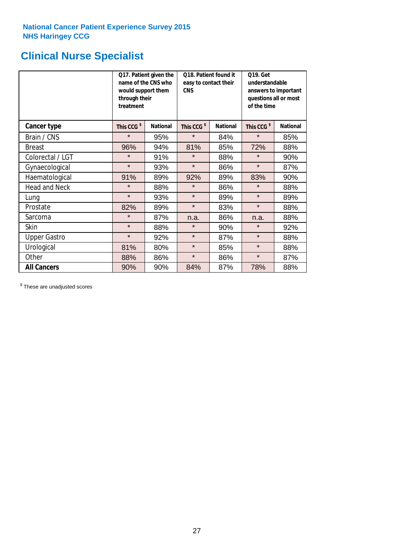# **Clinical Nurse Specialist**

|                      | would support them<br>through their<br>treatment | Q17. Patient given the<br>name of the CNS who | Q18. Patient found it<br>easy to contact their<br><b>CNS</b> |                 | <b>Q19. Get</b><br>understandable<br>answers to important<br>questions all or most<br>of the time |                 |  |
|----------------------|--------------------------------------------------|-----------------------------------------------|--------------------------------------------------------------|-----------------|---------------------------------------------------------------------------------------------------|-----------------|--|
| <b>Cancer type</b>   | This CCG <sup>\$</sup>                           | <b>National</b>                               | This CCG <sup>\$</sup>                                       | <b>National</b> | This CCG <sup>\$</sup>                                                                            | <b>National</b> |  |
| Brain / CNS          | $\star$                                          | 95%                                           | $\star$                                                      | 84%             | $\star$                                                                                           | 85%             |  |
| <b>Breast</b>        | 96%                                              | 94%                                           | 81%                                                          | 85%             | 72%                                                                                               | 88%             |  |
| Colorectal / LGT     | $\star$                                          | 91%                                           | $\star$                                                      | 88%             | $\star$                                                                                           | 90%             |  |
| Gynaecological       | $\star$                                          | 93%                                           | $\star$                                                      | 86%             | $\star$                                                                                           | 87%             |  |
| Haematological       | 91%                                              | 89%                                           | 92%                                                          | 89%             | 83%                                                                                               | 90%             |  |
| <b>Head and Neck</b> | $\star$                                          | 88%                                           | $\star$                                                      | 86%             | $\star$                                                                                           | 88%             |  |
| Lung                 | $\star$                                          | 93%                                           | $\star$                                                      | 89%             | $\star$                                                                                           | 89%             |  |
| Prostate             | 82%                                              | 89%                                           | $\star$                                                      | 83%             | $\star$                                                                                           | 88%             |  |
| Sarcoma              | $\star$                                          | 87%                                           | n.a.                                                         | 86%             | n.a.                                                                                              | 88%             |  |
| Skin                 | $\star$                                          | 88%                                           | $\star$                                                      | 90%             | $\star$                                                                                           | 92%             |  |
| <b>Upper Gastro</b>  | $\star$                                          | 92%                                           | $\star$                                                      | 87%             | $\star$                                                                                           | 88%             |  |
| Urological           | 81%                                              | 80%                                           | $\star$                                                      | 85%             | $\star$                                                                                           | 88%             |  |
| Other                | 88%                                              | 86%                                           | $\star$                                                      | 86%             | $\star$                                                                                           | 87%             |  |
| <b>All Cancers</b>   | 90%                                              | 90%                                           | 84%                                                          | 87%             | 78%                                                                                               | 88%             |  |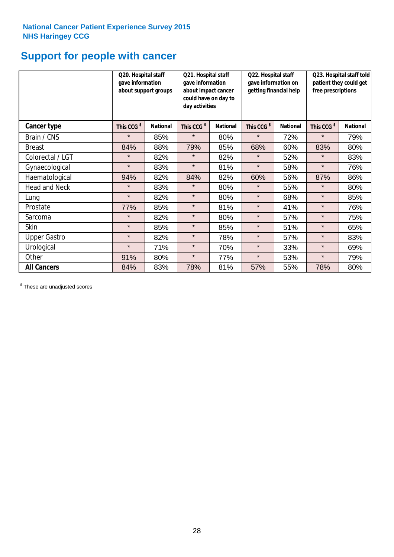# **Support for people with cancer**

|                      | Q20. Hospital staff<br>gave information<br>about support groups |                 | Q21. Hospital staff<br>gave information<br>about impact cancer<br>could have on day to<br>day activities |                 | Q22. Hospital staff<br>gave information on<br>getting financial help |                 | Q23. Hospital staff told<br>patient they could get<br>free prescriptions |                 |
|----------------------|-----------------------------------------------------------------|-----------------|----------------------------------------------------------------------------------------------------------|-----------------|----------------------------------------------------------------------|-----------------|--------------------------------------------------------------------------|-----------------|
| Cancer type          | This CCG <sup>\$</sup>                                          | <b>National</b> | This CCG <sup>\$</sup>                                                                                   | <b>National</b> | This CCG <sup>\$</sup>                                               | <b>National</b> | This CCG <sup>\$</sup>                                                   | <b>National</b> |
| Brain / CNS          | $\star$                                                         | 85%             | $\star$                                                                                                  | 80%             | $\star$                                                              | 72%             | $\star$                                                                  | 79%             |
| <b>Breast</b>        | 84%                                                             | 88%             | 79%                                                                                                      | 85%             | 68%                                                                  | 60%             | 83%                                                                      | 80%             |
| Colorectal / LGT     | $\star$                                                         | 82%             | $\star$                                                                                                  | 82%             | $\star$                                                              | 52%             | $\star$                                                                  | 83%             |
| Gynaecological       | $\star$                                                         | 83%             | $\star$                                                                                                  | 81%             | $\star$                                                              | 58%             | $\star$                                                                  | 76%             |
| Haematological       | 94%                                                             | 82%             | 84%                                                                                                      | 82%             | 60%                                                                  | 56%             | 87%                                                                      | 86%             |
| <b>Head and Neck</b> | $\star$                                                         | 83%             | $\star$                                                                                                  | 80%             | $\star$                                                              | 55%             | $\star$                                                                  | 80%             |
| Lung                 | $\star$                                                         | 82%             | $\star$                                                                                                  | 80%             | $\star$                                                              | 68%             | $\star$                                                                  | 85%             |
| Prostate             | 77%                                                             | 85%             | $\star$                                                                                                  | 81%             | $\star$                                                              | 41%             | $\star$                                                                  | 76%             |
| Sarcoma              | $\star$                                                         | 82%             | $\star$                                                                                                  | 80%             | $\star$                                                              | 57%             | $\star$                                                                  | 75%             |
| Skin                 | $\star$                                                         | 85%             | $\star$                                                                                                  | 85%             | $\star$                                                              | 51%             | $\star$                                                                  | 65%             |
| <b>Upper Gastro</b>  | $\star$                                                         | 82%             | $\star$                                                                                                  | 78%             | $\star$                                                              | 57%             | $\star$                                                                  | 83%             |
| Urological           | $\star$                                                         | 71%             | $\star$                                                                                                  | 70%             | $\star$                                                              | 33%             | $\star$                                                                  | 69%             |
| Other                | 91%                                                             | 80%             | $\star$                                                                                                  | 77%             | $\star$                                                              | 53%             | $\star$                                                                  | 79%             |
| <b>All Cancers</b>   | 84%                                                             | 83%             | 78%                                                                                                      | 81%             | 57%                                                                  | 55%             | 78%                                                                      | 80%             |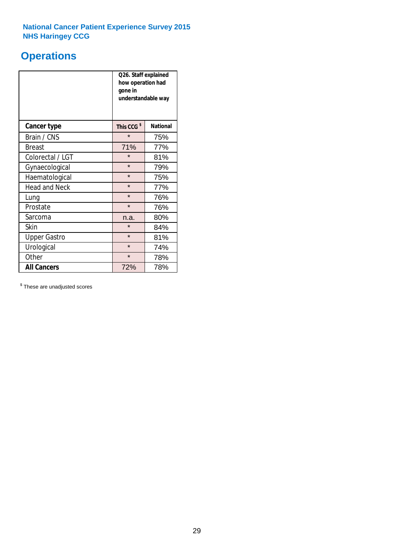# **Operations**

|                      | Q26. Staff explained<br>how operation had<br>gone in<br>understandable way |                 |  |  |
|----------------------|----------------------------------------------------------------------------|-----------------|--|--|
| <b>Cancer type</b>   | This CCG <sup>\$</sup>                                                     | <b>National</b> |  |  |
| Brain / CNS          | $\star$                                                                    | 75%             |  |  |
| <b>Breast</b>        | 71%                                                                        | 77%             |  |  |
| Colorectal / LGT     | $\star$                                                                    | 81%             |  |  |
| Gynaecological       | $\star$                                                                    | 79%             |  |  |
| Haematological       | $\star$                                                                    | 75%             |  |  |
| <b>Head and Neck</b> | $\star$                                                                    | 77%             |  |  |
| Lung                 | $\star$                                                                    | 76%             |  |  |
| Prostate             | $\star$                                                                    | 76%             |  |  |
| Sarcoma              | n.a.                                                                       | 80%             |  |  |
| Skin                 | $\star$                                                                    | 84%             |  |  |
| <b>Upper Gastro</b>  | $\star$                                                                    | 81%             |  |  |
| Urological           | $\star$                                                                    | 74%             |  |  |
| Other                | $\star$                                                                    | 78%             |  |  |
| <b>All Cancers</b>   | 72%                                                                        | 78%             |  |  |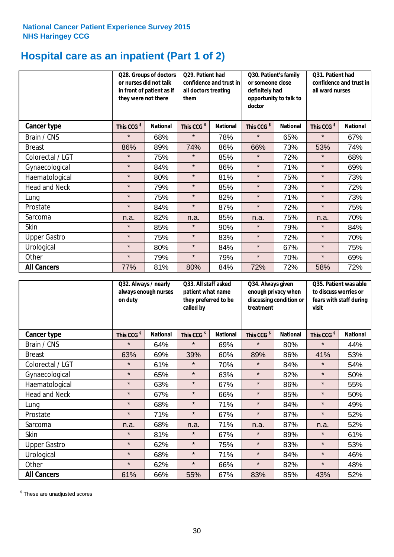# **Hospital care as an inpatient (Part 1 of 2)**

|                      | or nurses did not talk<br>they were not there | Q28. Groups of doctors<br>in front of patient as if | Q29. Patient had<br>confidence and trust in<br>all doctors treating<br>them |                 | Q30. Patient's family<br>or someone close<br>definitely had<br>opportunity to talk to<br>doctor |                 | Q31. Patient had<br>confidence and trust in I<br>all ward nurses |                 |
|----------------------|-----------------------------------------------|-----------------------------------------------------|-----------------------------------------------------------------------------|-----------------|-------------------------------------------------------------------------------------------------|-----------------|------------------------------------------------------------------|-----------------|
| Cancer type          | This CCG <sup>\$</sup>                        | <b>National</b>                                     | This CCG <sup>\$</sup>                                                      | <b>National</b> | This CCG <sup>\$</sup>                                                                          | <b>National</b> | This CCG <sup>\$</sup>                                           | <b>National</b> |
| Brain / CNS          | $\star$                                       | 68%                                                 | $\star$                                                                     | 78%             | $\star$                                                                                         | 65%             | $\star$                                                          | 67%             |
| <b>Breast</b>        | 86%                                           | 89%                                                 | 74%                                                                         | 86%             | 66%                                                                                             | 73%             | 53%                                                              | 74%             |
| Colorectal / LGT     | $\star$                                       | 75%                                                 | $\star$                                                                     | 85%             | $\star$                                                                                         | 72%             | $\star$                                                          | 68%             |
| Gynaecological       | $\star$                                       | 84%                                                 | $\star$                                                                     | 86%             | $\star$                                                                                         | 71%             | $\star$                                                          | 69%             |
| Haematological       | $\star$                                       | 80%                                                 | $\star$                                                                     | 81%             | $\star$                                                                                         | 75%             | $\star$                                                          | 73%             |
| <b>Head and Neck</b> | $\star$                                       | 79%                                                 | $\star$                                                                     | 85%             | $\star$                                                                                         | 73%             | $\star$                                                          | 72%             |
| Lung                 | $\star$                                       | 75%                                                 | $\star$                                                                     | 82%             | $\star$                                                                                         | 71%             | $\star$                                                          | 73%             |
| Prostate             | $\star$                                       | 84%                                                 | $\star$                                                                     | 87%             | $\star$                                                                                         | 72%             | $\star$                                                          | 75%             |
| Sarcoma              | n.a.                                          | 82%                                                 | n.a.                                                                        | 85%             | n.a.                                                                                            | 75%             | n.a.                                                             | 70%             |
| Skin                 | $\star$                                       | 85%                                                 | $\star$                                                                     | 90%             | $\star$                                                                                         | 79%             | $\star$                                                          | 84%             |
| <b>Upper Gastro</b>  | $\star$                                       | 75%                                                 | $\star$                                                                     | 83%             | $\star$                                                                                         | 72%             | $\star$                                                          | 70%             |
| Urological           | $\star$                                       | 80%                                                 | $\star$                                                                     | 84%             | $\star$                                                                                         | 67%             | $\star$                                                          | 75%             |
| Other                | $\star$                                       | 79%                                                 | $\star$                                                                     | 79%             | $\star$                                                                                         | 70%             | $\star$                                                          | 69%             |
| <b>All Cancers</b>   | 77%                                           | 81%                                                 | 80%                                                                         | 84%             | 72%                                                                                             | 72%             | 58%                                                              | 72%             |

|                      | Q32. Always / nearly<br>always enough nurses<br>on duty |                 | Q33. All staff asked<br>patient what name<br>they preferred to be<br>called by |                 | Q34. Always given<br>enough privacy when<br>discussing condition or<br>treatment |                 | Q35. Patient was able<br>to discuss worries or<br>fears with staff during<br>visit |                 |
|----------------------|---------------------------------------------------------|-----------------|--------------------------------------------------------------------------------|-----------------|----------------------------------------------------------------------------------|-----------------|------------------------------------------------------------------------------------|-----------------|
| <b>Cancer type</b>   | This CCG <sup>\$</sup>                                  | <b>National</b> | This CCG <sup>\$</sup>                                                         | <b>National</b> | This CCG <sup>\$</sup>                                                           | <b>National</b> | This CCG <sup>\$</sup>                                                             | <b>National</b> |
| Brain / CNS          | $\star$                                                 | 64%             | $\star$                                                                        | 69%             | $\star$                                                                          | 80%             | $\star$                                                                            | 44%             |
| <b>Breast</b>        | 63%                                                     | 69%             | 39%                                                                            | 60%             | 89%                                                                              | 86%             | 41%                                                                                | 53%             |
| Colorectal / LGT     | $\star$                                                 | 61%             | $\star$                                                                        | 70%             | $\star$                                                                          | 84%             | $\star$                                                                            | 54%             |
| Gynaecological       | $\star$                                                 | 65%             | $\star$                                                                        | 63%             | $\star$                                                                          | 82%             | $\star$                                                                            | 50%             |
| Haematological       | $\star$                                                 | 63%             | $\star$                                                                        | 67%             | $\star$                                                                          | 86%             | $\star$                                                                            | 55%             |
| <b>Head and Neck</b> | $\star$                                                 | 67%             | $\star$                                                                        | 66%             | $\star$                                                                          | 85%             | $\star$                                                                            | 50%             |
| Lung                 | $\star$                                                 | 68%             | $\star$                                                                        | 71%             | $\star$                                                                          | 84%             | $\star$                                                                            | 49%             |
| Prostate             | $\star$                                                 | 71%             | $\star$                                                                        | 67%             | $\star$                                                                          | 87%             | $\star$                                                                            | 52%             |
| Sarcoma              | n.a.                                                    | 68%             | n.a.                                                                           | 71%             | n.a.                                                                             | 87%             | n.a.                                                                               | 52%             |
| Skin                 | $\star$                                                 | 81%             | $\star$                                                                        | 67%             | $\star$                                                                          | 89%             | $\star$                                                                            | 61%             |
| <b>Upper Gastro</b>  | $\star$                                                 | 62%             | $\star$                                                                        | 75%             | $\star$                                                                          | 83%             | $\star$                                                                            | 53%             |
| Urological           | $\star$                                                 | 68%             | $\star$                                                                        | 71%             | $\star$                                                                          | 84%             | $\star$                                                                            | 46%             |
| Other                | $\star$                                                 | 62%             | $\star$                                                                        | 66%             | $\star$                                                                          | 82%             | $\star$                                                                            | 48%             |
| <b>All Cancers</b>   | 61%                                                     | 66%             | 55%                                                                            | 67%             | 83%                                                                              | 85%             | 43%                                                                                | 52%             |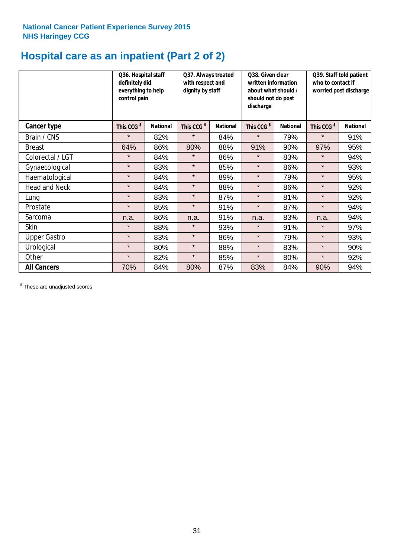# **Hospital care as an inpatient (Part 2 of 2)**

|                      | Q36. Hospital staff<br>definitely did<br>everything to help<br>control pain |                 | Q37. Always treated<br>with respect and<br>dignity by staff |                 | Q38. Given clear<br>written information<br>about what should /<br>should not do post<br>discharge |                 | Q39. Staff told patient<br>who to contact if<br>worried post discharge |                 |
|----------------------|-----------------------------------------------------------------------------|-----------------|-------------------------------------------------------------|-----------------|---------------------------------------------------------------------------------------------------|-----------------|------------------------------------------------------------------------|-----------------|
| Cancer type          | This CCG <sup>\$</sup>                                                      | <b>National</b> | This CCG <sup>\$</sup>                                      | <b>National</b> | This CCG <sup>\$</sup>                                                                            | <b>National</b> | This CCG <sup>\$</sup>                                                 | <b>National</b> |
| Brain / CNS          | $\star$                                                                     | 82%             | $\star$                                                     | 84%             | $\star$                                                                                           | 79%             | $\star$                                                                | 91%             |
| <b>Breast</b>        | 64%                                                                         | 86%             | 80%                                                         | 88%             | 91%                                                                                               | 90%             | 97%                                                                    | 95%             |
| Colorectal / LGT     | $\star$                                                                     | 84%             | $\star$                                                     | 86%             | $\star$                                                                                           | 83%             | $\star$                                                                | 94%             |
| Gynaecological       | $\star$                                                                     | 83%             | $\star$                                                     | 85%             | $\star$                                                                                           | 86%             | $\star$                                                                | 93%             |
| Haematological       | $\star$                                                                     | 84%             | $\star$                                                     | 89%             | $\star$                                                                                           | 79%             | $\star$                                                                | 95%             |
| <b>Head and Neck</b> | $\star$                                                                     | 84%             | $\star$                                                     | 88%             | $\star$                                                                                           | 86%             | $\star$                                                                | 92%             |
| Lung                 | $\star$                                                                     | 83%             | $\star$                                                     | 87%             | $\star$                                                                                           | 81%             | $\star$                                                                | 92%             |
| Prostate             | $\star$                                                                     | 85%             | $\star$                                                     | 91%             | $\star$                                                                                           | 87%             | $\star$                                                                | 94%             |
| Sarcoma              | n.a.                                                                        | 86%             | n.a.                                                        | 91%             | n.a.                                                                                              | 83%             | n.a.                                                                   | 94%             |
| Skin                 | $\star$                                                                     | 88%             | $\star$                                                     | 93%             | $\star$                                                                                           | 91%             | $\star$                                                                | 97%             |
| <b>Upper Gastro</b>  | $\star$                                                                     | 83%             | $\star$                                                     | 86%             | $\star$                                                                                           | 79%             | $\star$                                                                | 93%             |
| Urological           | $\star$                                                                     | 80%             | $\star$                                                     | 88%             | $\star$                                                                                           | 83%             | $\star$                                                                | 90%             |
| Other                | $\star$                                                                     | 82%             | $\star$                                                     | 85%             | $\star$                                                                                           | 80%             | $\star$                                                                | 92%             |
| <b>All Cancers</b>   | 70%                                                                         | 84%             | 80%                                                         | 87%             | 83%                                                                                               | 84%             | 90%                                                                    | 94%             |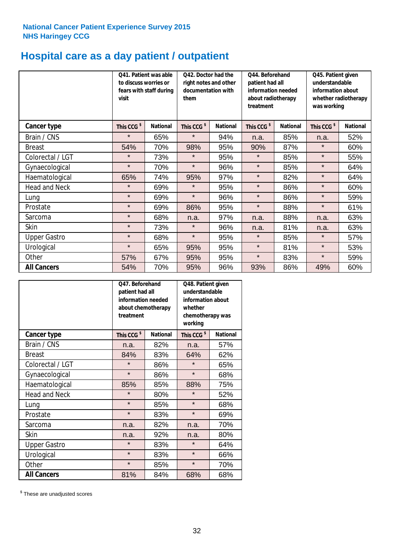# **Hospital care as a day patient / outpatient**

|                      | to discuss worries or<br>visit | Q41. Patient was able<br>fears with staff during | Q42. Doctor had the<br>right notes and other<br>documentation with<br>them |                 | Q44. Beforehand<br>patient had all<br>information needed<br>about radiotherapy<br>treatment |                 | Q45. Patient given<br>understandable<br>information about<br>whether radiotherapy<br>was working |                 |
|----------------------|--------------------------------|--------------------------------------------------|----------------------------------------------------------------------------|-----------------|---------------------------------------------------------------------------------------------|-----------------|--------------------------------------------------------------------------------------------------|-----------------|
| Cancer type          | This CCG <sup>\$</sup>         | <b>National</b>                                  | This CCG <sup>\$</sup>                                                     | <b>National</b> | This CCG <sup>\$</sup>                                                                      | <b>National</b> | This CCG <sup>\$</sup>                                                                           | <b>National</b> |
| Brain / CNS          | $\star$                        | 65%                                              | $\star$                                                                    | 94%             | n.a.                                                                                        | 85%             | n.a.                                                                                             | 52%             |
| <b>Breast</b>        | 54%                            | 70%                                              | 98%                                                                        | 95%             | 90%                                                                                         | 87%             | $\star$                                                                                          | 60%             |
| Colorectal / LGT     | $\star$                        | 73%                                              | $\star$                                                                    | 95%             | $\star$                                                                                     | 85%             | $\star$                                                                                          | 55%             |
| Gynaecological       | $\star$                        | 70%                                              | $\star$                                                                    | 96%             | $\star$                                                                                     | 85%             | $\star$                                                                                          | 64%             |
| Haematological       | 65%                            | 74%                                              | 95%                                                                        | 97%             | $\star$                                                                                     | 82%             | $\star$                                                                                          | 64%             |
| <b>Head and Neck</b> | $\star$                        | 69%                                              | $\star$                                                                    | 95%             | $\star$                                                                                     | 86%             | $\star$                                                                                          | 60%             |
| Lung                 | $\star$                        | 69%                                              | $\star$                                                                    | 96%             | $\star$                                                                                     | 86%             | $\star$                                                                                          | 59%             |
| Prostate             | $\star$                        | 69%                                              | 86%                                                                        | 95%             | $\star$                                                                                     | 88%             | $\star$                                                                                          | 61%             |
| Sarcoma              | $\star$                        | 68%                                              | n.a.                                                                       | 97%             | n.a.                                                                                        | 88%             | n.a.                                                                                             | 63%             |
| Skin                 | $\star$                        | 73%                                              | $\star$                                                                    | 96%             | n.a.                                                                                        | 81%             | n.a.                                                                                             | 63%             |
| <b>Upper Gastro</b>  | $\star$                        | 68%                                              | $\star$                                                                    | 95%             | $\star$                                                                                     | 85%             | $\star$                                                                                          | 57%             |
| Urological           | $\star$                        | 65%                                              | 95%                                                                        | 95%             | $\star$                                                                                     | 81%             | $\star$                                                                                          | 53%             |
| Other                | 57%                            | 67%                                              | 95%                                                                        | 95%             | $\star$                                                                                     | 83%             | $\star$                                                                                          | 59%             |
| <b>All Cancers</b>   | 54%                            | 70%                                              | 95%                                                                        | 96%             | 93%                                                                                         | 86%             | 49%                                                                                              | 60%             |

|                      | O47. Beforehand<br>patient had all<br>information needed<br>about chemotherapy<br>treatment |                 | Q48. Patient given<br>understandable<br>information about<br>whether<br>chemotherapy was<br>working |                 |  |
|----------------------|---------------------------------------------------------------------------------------------|-----------------|-----------------------------------------------------------------------------------------------------|-----------------|--|
| <b>Cancer type</b>   | This CCG <sup>\$</sup>                                                                      | <b>National</b> | This CCG <sup>\$</sup>                                                                              | <b>National</b> |  |
| Brain / CNS          | n.a.                                                                                        | 82%             | n.a.                                                                                                | 57%             |  |
| <b>Breast</b>        | 84%                                                                                         | 83%             | 64%                                                                                                 | 62%             |  |
| Colorectal / LGT     | $\star$                                                                                     | 86%             | $\star$                                                                                             | 65%             |  |
| Gynaecological       | $\star$                                                                                     | 86%             | $\star$                                                                                             | 68%             |  |
| Haematological       | 85%                                                                                         | 85%             | 88%                                                                                                 | 75%             |  |
| <b>Head and Neck</b> | $\star$                                                                                     | 80%             | $\star$                                                                                             | 52%             |  |
| Lung                 | $\star$                                                                                     | 85%             | $\star$                                                                                             | 68%             |  |
| Prostate             | $\star$                                                                                     | 83%             | $\star$                                                                                             | 69%             |  |
| Sarcoma              | n.a.                                                                                        | 82%             | n.a.                                                                                                | 70%             |  |
| Skin                 | n.a.                                                                                        | 92%             | n.a.                                                                                                | 80%             |  |
| <b>Upper Gastro</b>  | $\star$                                                                                     | 83%             | $\star$                                                                                             | 64%             |  |
| Urological           | $\star$                                                                                     | 83%             | $\star$                                                                                             | 66%             |  |
| Other                | $\star$                                                                                     | 85%             | $\star$                                                                                             | 70%             |  |
| <b>All Cancers</b>   | 81%                                                                                         | 84%             | 68%                                                                                                 | 68%             |  |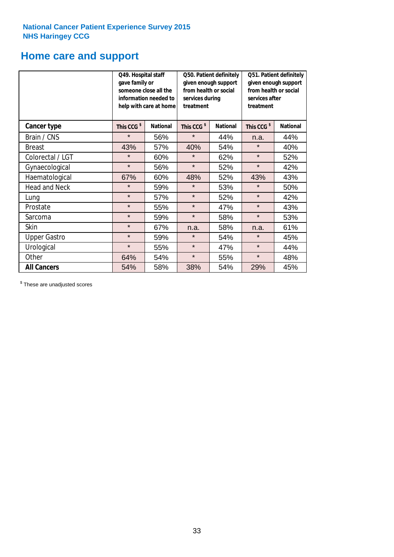# **Home care and support**

|                      | Q49. Hospital staff<br>gave family or                                                  | someone close all the<br>information needed to<br>help with care at home | Q50. Patient definitely<br>given enough support<br>from health or social<br>services during<br>treatment |                 | Q51. Patient definitely<br>given enough support<br>from health or social<br>services after<br>treatment |     |
|----------------------|----------------------------------------------------------------------------------------|--------------------------------------------------------------------------|----------------------------------------------------------------------------------------------------------|-----------------|---------------------------------------------------------------------------------------------------------|-----|
| <b>Cancer type</b>   | This CCG <sup>\$</sup><br><b>National</b><br>This CCG <sup>\$</sup><br><b>National</b> |                                                                          | This CCG <sup>\$</sup>                                                                                   | <b>National</b> |                                                                                                         |     |
| Brain / CNS          | $\star$                                                                                | 56%                                                                      | $\star$                                                                                                  | 44%             | n.a.                                                                                                    | 44% |
| <b>Breast</b>        | 43%                                                                                    | 57%                                                                      | 40%                                                                                                      | 54%             | $\star$                                                                                                 | 40% |
| Colorectal / LGT     | $\star$                                                                                | 60%                                                                      | $\star$                                                                                                  | 62%             | $\star$                                                                                                 | 52% |
| Gynaecological       | $\star$                                                                                | 56%                                                                      | $\star$                                                                                                  | 52%             | $\star$                                                                                                 | 42% |
| Haematological       | 67%                                                                                    | 60%                                                                      | 48%                                                                                                      | 52%             | 43%                                                                                                     | 43% |
| <b>Head and Neck</b> | $\star$                                                                                | 59%                                                                      | $\star$                                                                                                  | 53%             | $\star$                                                                                                 | 50% |
| Lung                 | $\star$                                                                                | 57%                                                                      | $\star$                                                                                                  | 52%             | $\star$                                                                                                 | 42% |
| Prostate             | $\star$                                                                                | 55%                                                                      | $\star$                                                                                                  | 47%             | $\star$                                                                                                 | 43% |
| Sarcoma              | $\star$                                                                                | 59%                                                                      | $\star$                                                                                                  | 58%             | $\star$                                                                                                 | 53% |
| Skin                 | $\star$                                                                                | 67%                                                                      | n.a.                                                                                                     | 58%             | n.a.                                                                                                    | 61% |
| <b>Upper Gastro</b>  | $\star$                                                                                | 59%                                                                      | $\star$                                                                                                  | 54%             | $\star$                                                                                                 | 45% |
| Urological           | $\star$                                                                                | 55%                                                                      | $\star$                                                                                                  | 47%             | $\star$                                                                                                 | 44% |
| Other                | 64%                                                                                    | 54%                                                                      | $\star$                                                                                                  | 55%             | $\star$                                                                                                 | 48% |
| <b>All Cancers</b>   | 54%                                                                                    | 58%                                                                      | 38%                                                                                                      | 54%             | 29%                                                                                                     | 45% |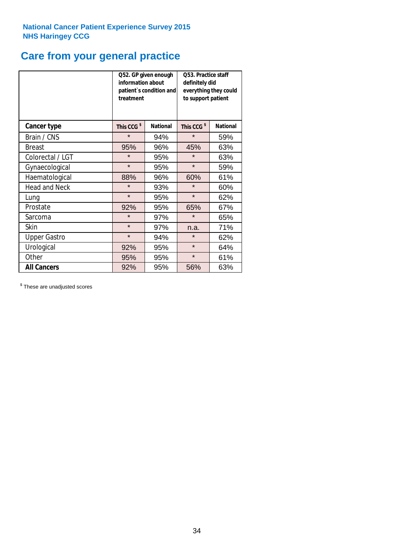# **Care from your general practice**

|                      | information about<br>treatment | Q52. GP given enough<br>patient's condition and | <b>O53. Practice staff</b><br>definitely did<br>everything they could<br>to support patient |                 |  |
|----------------------|--------------------------------|-------------------------------------------------|---------------------------------------------------------------------------------------------|-----------------|--|
| <b>Cancer type</b>   | This CCG <sup>\$</sup>         | <b>National</b>                                 | This CCG <sup>\$</sup>                                                                      | <b>National</b> |  |
| Brain / CNS          | $\star$                        | 94%                                             | $\star$                                                                                     | 59%             |  |
| <b>Breast</b>        | 95%                            | 96%                                             | 45%                                                                                         | 63%             |  |
| Colorectal / LGT     | $\star$                        | 95%                                             | $\star$                                                                                     | 63%             |  |
| Gynaecological       | $\star$                        | 95%                                             | $\star$                                                                                     | 59%             |  |
| Haematological       | 88%                            | 96%                                             | 60%                                                                                         | 61%             |  |
| <b>Head and Neck</b> | $\star$                        | 93%                                             | $\star$                                                                                     | 60%             |  |
| Lung                 | $\star$                        | 95%                                             | $\star$                                                                                     | 62%             |  |
| Prostate             | 92%                            | 95%                                             | 65%                                                                                         | 67%             |  |
| Sarcoma              | $\star$                        | 97%                                             | $\star$                                                                                     | 65%             |  |
| Skin                 | $\star$                        | 97%                                             | n.a.                                                                                        | 71%             |  |
| <b>Upper Gastro</b>  | $\star$                        | 94%                                             | $\star$                                                                                     | 62%             |  |
| Urological           | 92%                            | 95%                                             | $\star$                                                                                     | 64%             |  |
| Other                | 95%                            | 95%                                             | $\star$                                                                                     | 61%             |  |
| <b>All Cancers</b>   | 92%                            | 95%                                             | 56%                                                                                         | 63%             |  |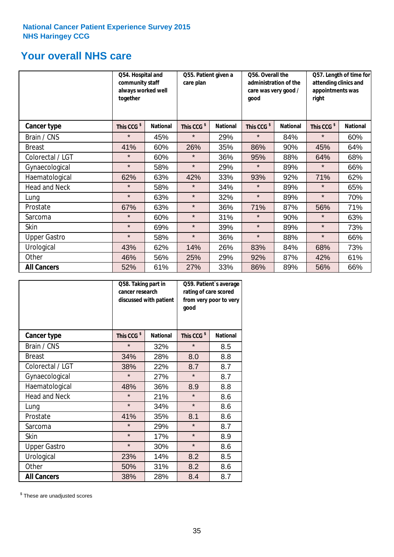# **Your overall NHS care**

|                      | Q54. Hospital and<br>community staff<br>always worked well<br>together |                 | Q55. Patient given a<br>care plan |                 | Q56. Overall the<br>administration of the<br>care was very good /<br>qood |                 | Q57. Length of time for<br>attending clinics and<br>appointments was<br>right |                 |
|----------------------|------------------------------------------------------------------------|-----------------|-----------------------------------|-----------------|---------------------------------------------------------------------------|-----------------|-------------------------------------------------------------------------------|-----------------|
| <b>Cancer type</b>   | This CCG <sup>\$</sup>                                                 | <b>National</b> | This CCG <sup>\$</sup>            | <b>National</b> | This CCG <sup>\$</sup>                                                    | <b>National</b> | This CCG <sup>\$</sup>                                                        | <b>National</b> |
| Brain / CNS          | $\star$                                                                | 45%             | $\star$                           | 29%             | $\star$                                                                   | 84%             | $\star$                                                                       | 60%             |
| <b>Breast</b>        | 41%                                                                    | 60%             | 26%                               | 35%             | 86%                                                                       | 90%             | 45%                                                                           | 64%             |
| Colorectal / LGT     | $\star$                                                                | 60%             | $\star$                           | 36%             | 95%                                                                       | 88%             | 64%                                                                           | 68%             |
| Gynaecological       | $\star$                                                                | 58%             | $\star$                           | 29%             | $\star$                                                                   | 89%             | $\star$                                                                       | 66%             |
| Haematological       | 62%                                                                    | 63%             | 42%                               | 33%             | 93%                                                                       | 92%             | 71%                                                                           | 62%             |
| <b>Head and Neck</b> | $\star$                                                                | 58%             | $\star$                           | 34%             | $\star$                                                                   | 89%             | $\star$                                                                       | 65%             |
| Lung                 | $\star$                                                                | 63%             | $\star$                           | 32%             | $\star$                                                                   | 89%             | $\star$                                                                       | 70%             |
| Prostate             | 67%                                                                    | 63%             | $\star$                           | 36%             | 71%                                                                       | 87%             | 56%                                                                           | 71%             |
| Sarcoma              | $\star$                                                                | 60%             | $\star$                           | 31%             | $\star$                                                                   | 90%             | $\star$                                                                       | 63%             |
| Skin                 | $\star$                                                                | 69%             | $\star$                           | 39%             | $\star$                                                                   | 89%             | $\star$                                                                       | 73%             |
| <b>Upper Gastro</b>  | $\star$                                                                | 58%             | $\star$                           | 36%             | $\star$                                                                   | 88%             | $\star$                                                                       | 66%             |
| Urological           | 43%                                                                    | 62%             | 14%                               | 26%             | 83%                                                                       | 84%             | 68%                                                                           | 73%             |
| Other                | 46%                                                                    | 56%             | 25%                               | 29%             | 92%                                                                       | 87%             | 42%                                                                           | 61%             |
| <b>All Cancers</b>   | 52%                                                                    | 61%             | 27%                               | 33%             | 86%                                                                       | 89%             | 56%                                                                           | 66%             |

|                      | Q58. Taking part in<br>cancer research | discussed with patient | Q59. Patient's average<br>rating of care scored<br>from very poor to very<br>good |                 |  |
|----------------------|----------------------------------------|------------------------|-----------------------------------------------------------------------------------|-----------------|--|
| <b>Cancer type</b>   | This CCG <sup>\$</sup>                 | <b>National</b>        | This CCG <sup>\$</sup>                                                            | <b>National</b> |  |
| Brain / CNS          | $\star$                                | 32%                    | $\star$                                                                           | 8.5             |  |
| <b>Breast</b>        | 34%                                    | 28%                    | 8.0                                                                               | 8.8             |  |
| Colorectal / LGT     | 38%                                    | 22%                    | 8.7                                                                               | 8.7             |  |
| Gynaecological       | $\star$                                | 27%                    | $\star$                                                                           | 8.7             |  |
| Haematological       | 48%                                    | 36%                    | 8.9                                                                               | 8.8             |  |
| <b>Head and Neck</b> | $\star$                                | 21%                    | $\star$                                                                           | 8.6             |  |
| Lung                 | $\star$                                | 34%                    | $\star$                                                                           | 8.6             |  |
| Prostate             | 41%                                    | 35%                    | 8.1                                                                               | 8.6             |  |
| Sarcoma              | $\star$                                | 29%                    | $\star$                                                                           | 8.7             |  |
| Skin                 | $\star$                                | 17%                    | $\star$                                                                           | 8.9             |  |
| <b>Upper Gastro</b>  | $\star$                                | 30%                    | $\star$                                                                           | 8.6             |  |
| Urological           | 23%                                    | 14%                    | 8.2                                                                               | 8.5             |  |
| Other                | 50%                                    | 31%                    | 8.2                                                                               | 8.6             |  |
| <b>All Cancers</b>   | 38%                                    | 28%                    | 8.4                                                                               | 8.7             |  |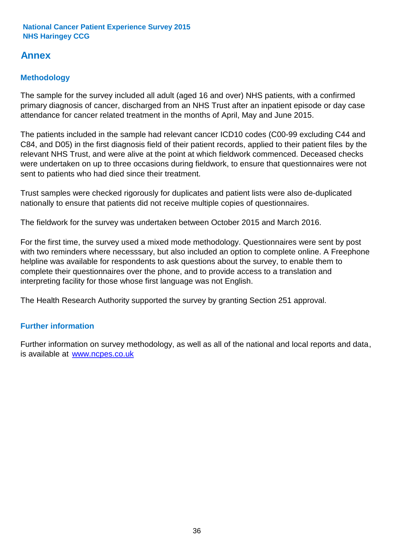# **Annex**

# **Methodology**

The sample for the survey included all adult (aged 16 and over) NHS patients, with a confirmed primary diagnosis of cancer, discharged from an NHS Trust after an inpatient episode or day case attendance for cancer related treatment in the months of April, May and June 2015.

The patients included in the sample had relevant cancer ICD10 codes (C00-99 excluding C44 and C84, and D05) in the first diagnosis field of their patient records, applied to their patient files by the relevant NHS Trust, and were alive at the point at which fieldwork commenced. Deceased checks were undertaken on up to three occasions during fieldwork, to ensure that questionnaires were not sent to patients who had died since their treatment.

Trust samples were checked rigorously for duplicates and patient lists were also de-duplicated nationally to ensure that patients did not receive multiple copies of questionnaires.

The fieldwork for the survey was undertaken between October 2015 and March 2016.

For the first time, the survey used a mixed mode methodology. Questionnaires were sent by post with two reminders where necesssary, but also included an option to complete online. A Freephone helpline was available for respondents to ask questions about the survey, to enable them to complete their questionnaires over the phone, and to provide access to a translation and interpreting facility for those whose first language was not English.

The Health Research Authority supported the survey by granting Section 251 approval.

# **Further information**

Further information on survey methodology, as well as all of the national and local reports and data, is available at www.ncpes.co.uk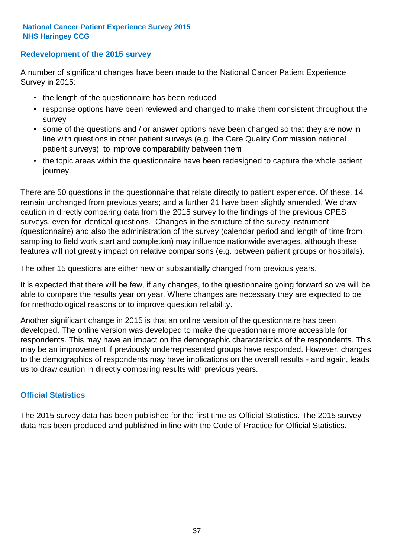### **Redevelopment of the 2015 survey**

A number of significant changes have been made to the National Cancer Patient Experience Survey in 2015:

- the length of the questionnaire has been reduced
- response options have been reviewed and changed to make them consistent throughout the survey
- some of the questions and / or answer options have been changed so that they are now in line with questions in other patient surveys (e.g. the Care Quality Commission national patient surveys), to improve comparability between them
- the topic areas within the questionnaire have been redesigned to capture the whole patient journey.

There are 50 questions in the questionnaire that relate directly to patient experience. Of these, 14 remain unchanged from previous years; and a further 21 have been slightly amended. We draw caution in directly comparing data from the 2015 survey to the findings of the previous CPES surveys, even for identical questions. Changes in the structure of the survey instrument (questionnaire) and also the administration of the survey (calendar period and length of time from sampling to field work start and completion) may influence nationwide averages, although these features will not greatly impact on relative comparisons (e.g. between patient groups or hospitals).

The other 15 questions are either new or substantially changed from previous years.

It is expected that there will be few, if any changes, to the questionnaire going forward so we will be able to compare the results year on year. Where changes are necessary they are expected to be for methodological reasons or to improve question reliability.

Another significant change in 2015 is that an online version of the questionnaire has been developed. The online version was developed to make the questionnaire more accessible for respondents. This may have an impact on the demographic characteristics of the respondents. This may be an improvement if previously underrepresented groups have responded. However, changes to the demographics of respondents may have implications on the overall results - and again, leads us to draw caution in directly comparing results with previous years.

### **Official Statistics**

The 2015 survey data has been published for the first time as Official Statistics. The 2015 survey data has been produced and published in line with the Code of Practice for Official Statistics.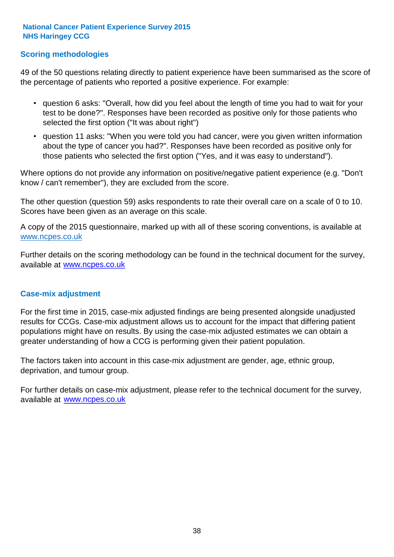### **Scoring methodologies**

49 of the 50 questions relating directly to patient experience have been summarised as the score of the percentage of patients who reported a positive experience. For example:

- question 6 asks: "Overall, how did you feel about the length of time you had to wait for your test to be done?". Responses have been recorded as positive only for those patients who selected the first option ("It was about right")
- question 11 asks: "When you were told you had cancer, were you given written information about the type of cancer you had?". Responses have been recorded as positive only for those patients who selected the first option ("Yes, and it was easy to understand").

Where options do not provide any information on positive/negative patient experience (e.g. "Don't know / can't remember"), they are excluded from the score.

The other question (question 59) asks respondents to rate their overall care on a scale of 0 to 10. Scores have been given as an average on this scale.

A copy of the 2015 questionnaire, marked up with all of these scoring conventions, is available at www.ncpes.co.uk

Further details on the scoring methodology can be found in the technical document for the survey, available at <u>www.ncpes.co.uk</u>

#### **Case-mix adjustment**

For the first time in 2015, case-mix adjusted findings are being presented alongside unadjusted results for CCGs. Case-mix adjustment allows us to account for the impact that differing patient populations might have on results. By using the case-mix adjusted estimates we can obtain a greater understanding of how a CCG is performing given their patient population.

The factors taken into account in this case-mix adjustment are gender, age, ethnic group, deprivation, and tumour group.

For further details on case-mix adjustment, please refer to the technical document for the survey, available at www.ncpes.co.uk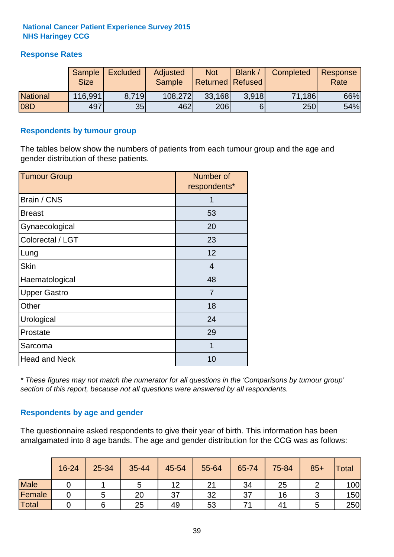### **Response Rates**

|                 | Sample<br><b>Size</b> | <b>Excluded</b> | Adjusted<br><b>Sample</b> | <b>Not</b><br>Returned   Refused | <b>Blank</b> | Completed | Response<br>Rate |
|-----------------|-----------------------|-----------------|---------------------------|----------------------------------|--------------|-----------|------------------|
| <b>National</b> | 116,991               | 8.719           | 108,272                   | 33,168                           | 3.918        | 71,186    | 66%              |
| 08D             | 497                   | 35              | 462                       | 206                              |              | 250       | 54%              |

#### **Respondents by tumour group**

The tables below show the numbers of patients from each tumour group and the age and gender distribution of these patients.

| <b>Tumour Group</b>  | Number of<br>respondents* |
|----------------------|---------------------------|
| Brain / CNS          | 1                         |
| <b>Breast</b>        | 53                        |
| Gynaecological       | 20                        |
| Colorectal / LGT     | 23                        |
| Lung                 | 12                        |
| <b>Skin</b>          | 4                         |
| Haematological       | 48                        |
| <b>Upper Gastro</b>  | $\overline{7}$            |
| Other                | 18                        |
| Urological           | 24                        |
| Prostate             | 29                        |
| Sarcoma              | 1                         |
| <b>Head and Neck</b> | 10                        |

*\* These figures may not match the numerator for all questions in the 'Comparisons by tumour group' section of this report, because not all questions were answered by all respondents.*

### **Respondents by age and gender**

The questionnaire asked respondents to give their year of birth. This information has been amalgamated into 8 age bands. The age and gender distribution for the CCG was as follows:

|             | 16-24 | 25-34 | 35-44 | 45-54 | 55-64 | 65-74 | 75-84 | $85+$ | <b>Total</b> |
|-------------|-------|-------|-------|-------|-------|-------|-------|-------|--------------|
| <b>Male</b> |       |       | ັ     | 12    | 21    | 34    | 25    |       | 100          |
| Female      |       |       | 20    | 37    | 32    | 37    | 16    |       | 150          |
| Total       |       |       | 25    | 49    | 53    |       | 41    |       | 250          |